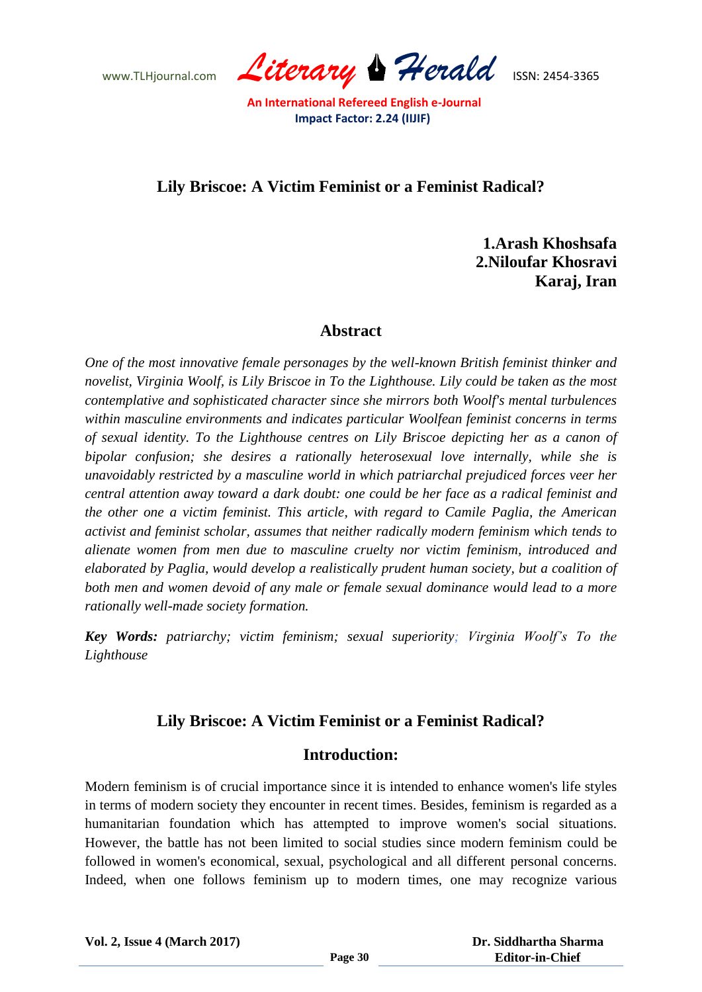www.TLHjournal.com *Literary Herald*ISSN: 2454-3365

# **Lily Briscoe: A Victim Feminist or a Feminist Radical?**

**1.Arash Khoshsafa 2.Niloufar Khosravi Karaj, Iran** 

#### **Abstract**

*One of the most innovative female personages by the well-known British feminist thinker and novelist, Virginia Woolf, is Lily Briscoe in To the Lighthouse. Lily could be taken as the most contemplative and sophisticated character since she mirrors both Woolf's mental turbulences within masculine environments and indicates particular Woolfean feminist concerns in terms of sexual identity. To the Lighthouse centres on Lily Briscoe depicting her as a canon of bipolar confusion; she desires a rationally heterosexual love internally, while she is unavoidably restricted by a masculine world in which patriarchal prejudiced forces veer her central attention away toward a dark doubt: one could be her face as a radical feminist and the other one a victim feminist. This article, with regard to Camile Paglia, the American activist and feminist scholar, assumes that neither radically modern feminism which tends to alienate women from men due to masculine cruelty nor victim feminism, introduced and elaborated by Paglia, would develop a realistically prudent human society, but a coalition of both men and women devoid of any male or female sexual dominance would lead to a more rationally well-made society formation.* 

*Key Words: patriarchy; victim feminism; sexual superiority; Virginia Woolf's To the Lighthouse*

## **Lily Briscoe: A Victim Feminist or a Feminist Radical?**

## **Introduction:**

Modern feminism is of crucial importance since it is intended to enhance women's life styles in terms of modern society they encounter in recent times. Besides, feminism is regarded as a humanitarian foundation which has attempted to improve women's social situations. However, the battle has not been limited to social studies since modern feminism could be followed in women's economical, sexual, psychological and all different personal concerns. Indeed, when one follows feminism up to modern times, one may recognize various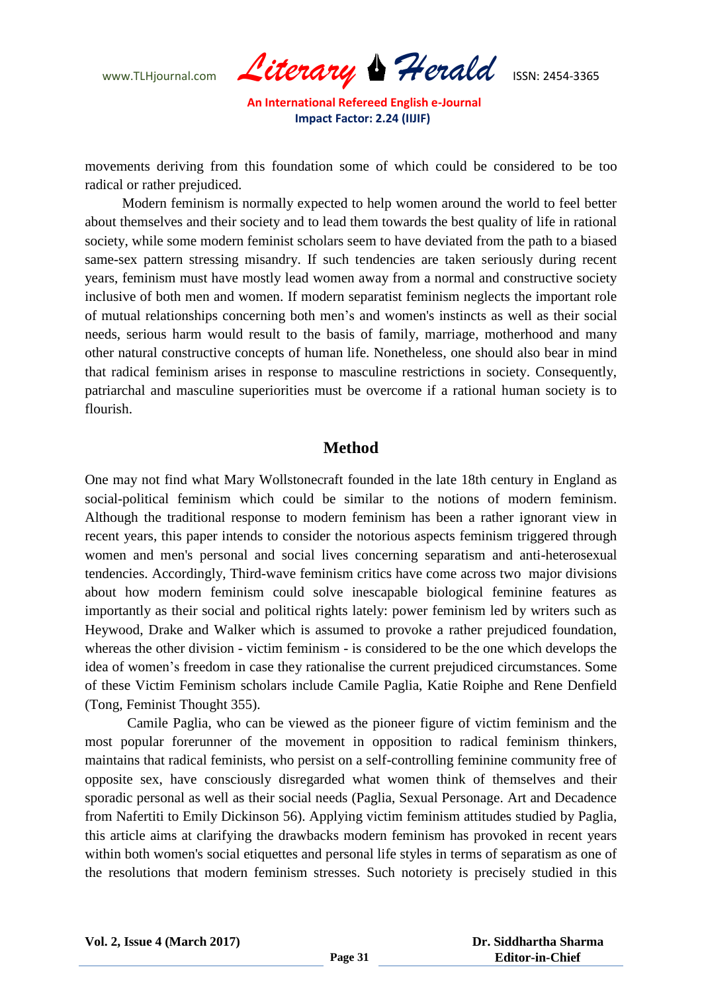www.TLHjournal.com *Literary Herald*ISSN: 2454-3365

movements deriving from this foundation some of which could be considered to be too radical or rather prejudiced.

Modern feminism is normally expected to help women around the world to feel better about themselves and their society and to lead them towards the best quality of life in rational society, while some modern feminist scholars seem to have deviated from the path to a biased same-sex pattern stressing misandry. If such tendencies are taken seriously during recent years, feminism must have mostly lead women away from a normal and constructive society inclusive of both men and women. If modern separatist feminism neglects the important role of mutual relationships concerning both men's and women's instincts as well as their social needs, serious harm would result to the basis of family, marriage, motherhood and many other natural constructive concepts of human life. Nonetheless, one should also bear in mind that radical feminism arises in response to masculine restrictions in society. Consequently, patriarchal and masculine superiorities must be overcome if a rational human society is to flourish.

## **Method**

One may not find what Mary Wollstonecraft founded in the late 18th century in England as social-political feminism which could be similar to the notions of modern feminism. Although the traditional response to modern feminism has been a rather ignorant view in recent years, this paper intends to consider the notorious aspects feminism triggered through women and men's personal and social lives concerning separatism and anti-heterosexual tendencies. Accordingly, Third-wave feminism critics have come across two major divisions about how modern feminism could solve inescapable biological feminine features as importantly as their social and political rights lately: power feminism led by writers such as Heywood, Drake and Walker which is assumed to provoke a rather prejudiced foundation, whereas the other division - victim feminism - is considered to be the one which develops the idea of women's freedom in case they rationalise the current prejudiced circumstances. Some of these Victim Feminism scholars include Camile Paglia, Katie Roiphe and Rene Denfield (Tong, Feminist Thought 355).

Camile Paglia, who can be viewed as the pioneer figure of victim feminism and the most popular forerunner of the movement in opposition to radical feminism thinkers, maintains that radical feminists, who persist on a self-controlling feminine community free of opposite sex, have consciously disregarded what women think of themselves and their sporadic personal as well as their social needs (Paglia, Sexual Personage. Art and Decadence from Nafertiti to Emily Dickinson 56). Applying victim feminism attitudes studied by Paglia, this article aims at clarifying the drawbacks modern feminism has provoked in recent years within both women's social etiquettes and personal life styles in terms of separatism as one of the resolutions that modern feminism stresses. Such notoriety is precisely studied in this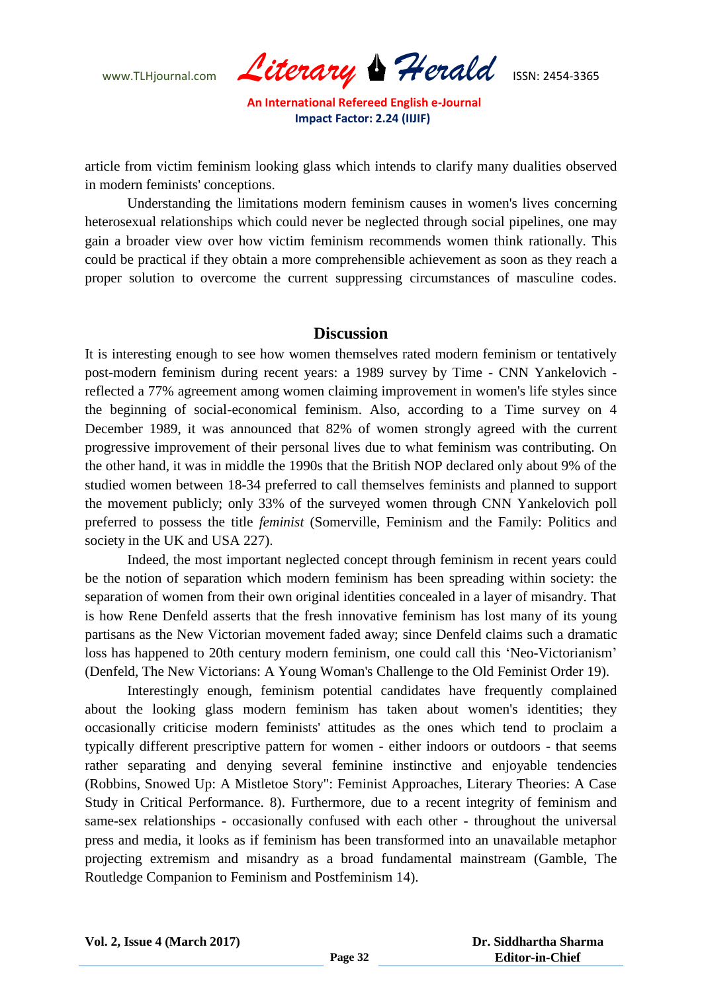WWW.TLHjournal.com **Literary & Herald ISSN: 2454-3365** 

article from victim feminism looking glass which intends to clarify many dualities observed in modern feminists' conceptions.

Understanding the limitations modern feminism causes in women's lives concerning heterosexual relationships which could never be neglected through social pipelines, one may gain a broader view over how victim feminism recommends women think rationally. This could be practical if they obtain a more comprehensible achievement as soon as they reach a proper solution to overcome the current suppressing circumstances of masculine codes.

#### **Discussion**

It is interesting enough to see how women themselves rated modern feminism or tentatively post-modern feminism during recent years: a 1989 survey by Time - CNN Yankelovich reflected a 77% agreement among women claiming improvement in women's life styles since the beginning of social-economical feminism. Also, according to a Time survey on 4 December 1989, it was announced that 82% of women strongly agreed with the current progressive improvement of their personal lives due to what feminism was contributing. On the other hand, it was in middle the 1990s that the British NOP declared only about 9% of the studied women between 18-34 preferred to call themselves feminists and planned to support the movement publicly; only 33% of the surveyed women through CNN Yankelovich poll preferred to possess the title *feminist* (Somerville, Feminism and the Family: Politics and society in the UK and USA 227).

Indeed, the most important neglected concept through feminism in recent years could be the notion of separation which modern feminism has been spreading within society: the separation of women from their own original identities concealed in a layer of misandry. That is how Rene Denfeld asserts that the fresh innovative feminism has lost many of its young partisans as the New Victorian movement faded away; since Denfeld claims such a dramatic loss has happened to 20th century modern feminism, one could call this 'Neo-Victorianism' (Denfeld, The New Victorians: A Young Woman's Challenge to the Old Feminist Order 19).

Interestingly enough, feminism potential candidates have frequently complained about the looking glass modern feminism has taken about women's identities; they occasionally criticise modern feminists' attitudes as the ones which tend to proclaim a typically different prescriptive pattern for women - either indoors or outdoors - that seems rather separating and denying several feminine instinctive and enjoyable tendencies (Robbins, Snowed Up: A Mistletoe Story": Feminist Approaches, Literary Theories: A Case Study in Critical Performance. 8). Furthermore, due to a recent integrity of feminism and same-sex relationships - occasionally confused with each other - throughout the universal press and media, it looks as if feminism has been transformed into an unavailable metaphor projecting extremism and misandry as a broad fundamental mainstream (Gamble, The Routledge Companion to Feminism and Postfeminism 14).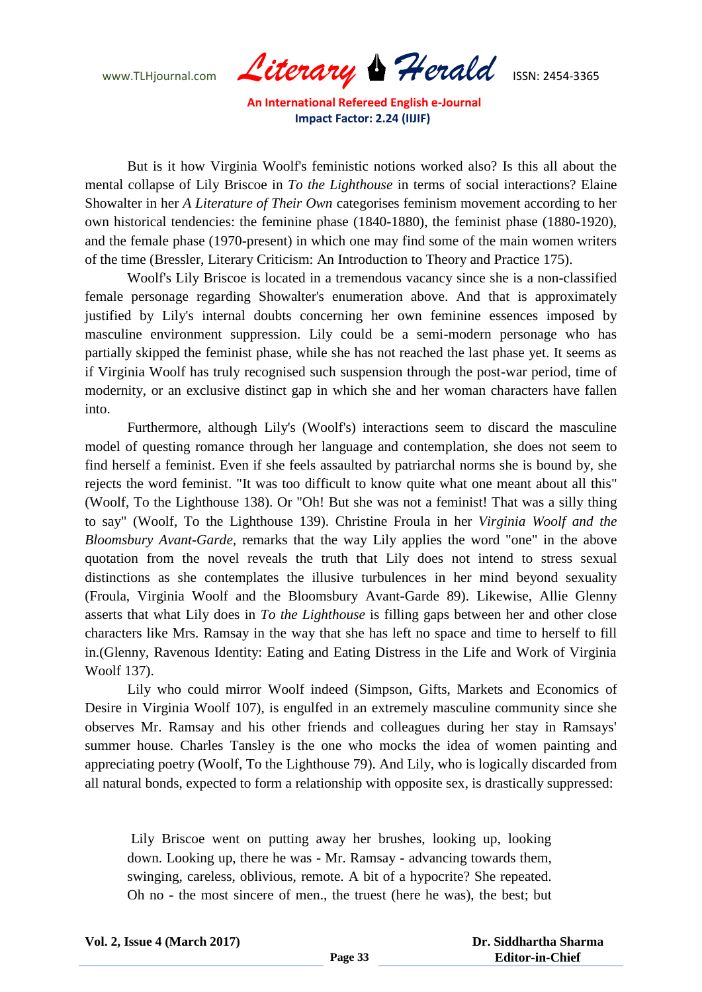WWW.TLHjournal.com **Literary & Herald ISSN: 2454-3365** 

But is it how Virginia Woolf's feministic notions worked also? Is this all about the mental collapse of Lily Briscoe in *To the Lighthouse* in terms of social interactions? Elaine Showalter in her *A Literature of Their Own* categorises feminism movement according to her own historical tendencies: the feminine phase (1840-1880), the feminist phase (1880-1920), and the female phase (1970-present) in which one may find some of the main women writers of the time (Bressler, Literary Criticism: An Introduction to Theory and Practice 175).

Woolf's Lily Briscoe is located in a tremendous vacancy since she is a non-classified female personage regarding Showalter's enumeration above. And that is approximately justified by Lily's internal doubts concerning her own feminine essences imposed by masculine environment suppression. Lily could be a semi-modern personage who has partially skipped the feminist phase, while she has not reached the last phase yet. It seems as if Virginia Woolf has truly recognised such suspension through the post-war period, time of modernity, or an exclusive distinct gap in which she and her woman characters have fallen into.

Furthermore, although Lily's (Woolf's) interactions seem to discard the masculine model of questing romance through her language and contemplation, she does not seem to find herself a feminist. Even if she feels assaulted by patriarchal norms she is bound by, she rejects the word feminist. "It was too difficult to know quite what one meant about all this" (Woolf, To the Lighthouse 138). Or "Oh! But she was not a feminist! That was a silly thing to say" (Woolf, To the Lighthouse 139). Christine Froula in her *Virginia Woolf and the Bloomsbury Avant-Garde,* remarks that the way Lily applies the word "one" in the above quotation from the novel reveals the truth that Lily does not intend to stress sexual distinctions as she contemplates the illusive turbulences in her mind beyond sexuality (Froula, Virginia Woolf and the Bloomsbury Avant-Garde 89). Likewise, Allie Glenny asserts that what Lily does in *To the Lighthouse* is filling gaps between her and other close characters like Mrs. Ramsay in the way that she has left no space and time to herself to fill in.(Glenny, Ravenous Identity: Eating and Eating Distress in the Life and Work of Virginia Woolf 137).

Lily who could mirror Woolf indeed (Simpson, Gifts, Markets and Economics of Desire in Virginia Woolf 107), is engulfed in an extremely masculine community since she observes Mr. Ramsay and his other friends and colleagues during her stay in Ramsays' summer house. Charles Tansley is the one who mocks the idea of women painting and appreciating poetry (Woolf, To the Lighthouse 79). And Lily, who is logically discarded from all natural bonds, expected to form a relationship with opposite sex, is drastically suppressed:

Lily Briscoe went on putting away her brushes, looking up, looking down. Looking up, there he was - Mr. Ramsay - advancing towards them, swinging, careless, oblivious, remote. A bit of a hypocrite? She repeated. Oh no - the most sincere of men., the truest (here he was), the best; but

 **Dr. Siddhartha Sharma Editor-in-Chief**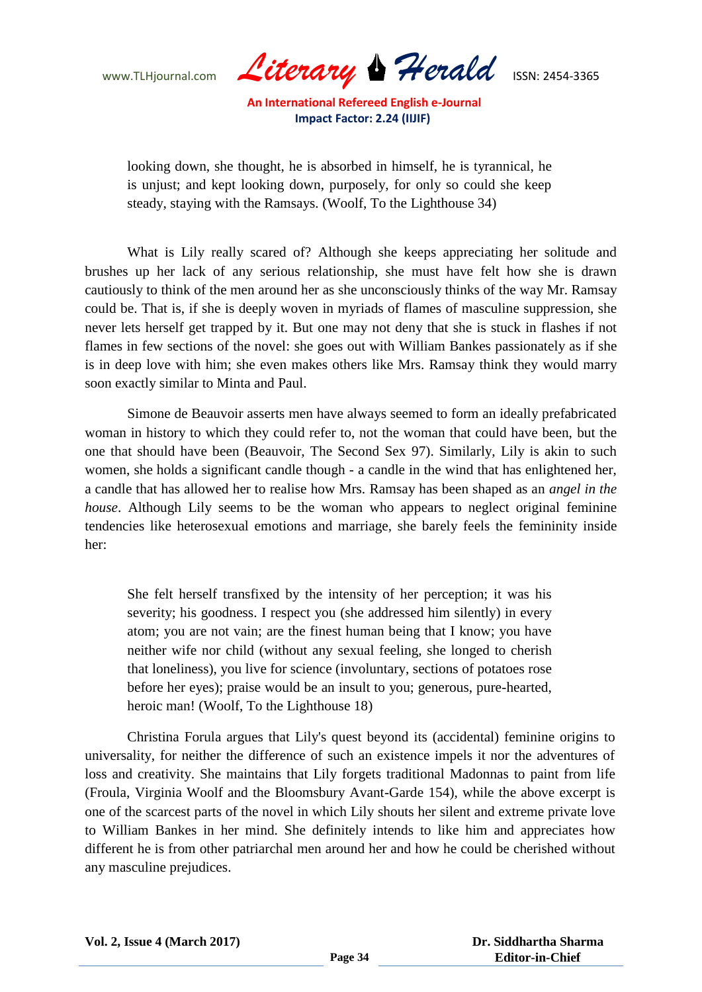WWW.TLHjournal.com **Literary & Herald ISSN: 2454-3365** 

looking down, she thought, he is absorbed in himself, he is tyrannical, he is unjust; and kept looking down, purposely, for only so could she keep steady, staying with the Ramsays. (Woolf, To the Lighthouse 34)

What is Lily really scared of? Although she keeps appreciating her solitude and brushes up her lack of any serious relationship, she must have felt how she is drawn cautiously to think of the men around her as she unconsciously thinks of the way Mr. Ramsay could be. That is, if she is deeply woven in myriads of flames of masculine suppression, she never lets herself get trapped by it. But one may not deny that she is stuck in flashes if not flames in few sections of the novel: she goes out with William Bankes passionately as if she is in deep love with him; she even makes others like Mrs. Ramsay think they would marry soon exactly similar to Minta and Paul.

Simone de Beauvoir asserts men have always seemed to form an ideally prefabricated woman in history to which they could refer to, not the woman that could have been, but the one that should have been (Beauvoir, The Second Sex 97). Similarly, Lily is akin to such women, she holds a significant candle though - a candle in the wind that has enlightened her, a candle that has allowed her to realise how Mrs. Ramsay has been shaped as an *angel in the house*. Although Lily seems to be the woman who appears to neglect original feminine tendencies like heterosexual emotions and marriage, she barely feels the femininity inside her:

She felt herself transfixed by the intensity of her perception; it was his severity; his goodness. I respect you (she addressed him silently) in every atom; you are not vain; are the finest human being that I know; you have neither wife nor child (without any sexual feeling, she longed to cherish that loneliness), you live for science (involuntary, sections of potatoes rose before her eyes); praise would be an insult to you; generous, pure-hearted, heroic man! (Woolf, To the Lighthouse 18)

Christina Forula argues that Lily's quest beyond its (accidental) feminine origins to universality, for neither the difference of such an existence impels it nor the adventures of loss and creativity. She maintains that Lily forgets traditional Madonnas to paint from life (Froula, Virginia Woolf and the Bloomsbury Avant-Garde 154), while the above excerpt is one of the scarcest parts of the novel in which Lily shouts her silent and extreme private love to William Bankes in her mind. She definitely intends to like him and appreciates how different he is from other patriarchal men around her and how he could be cherished without any masculine prejudices.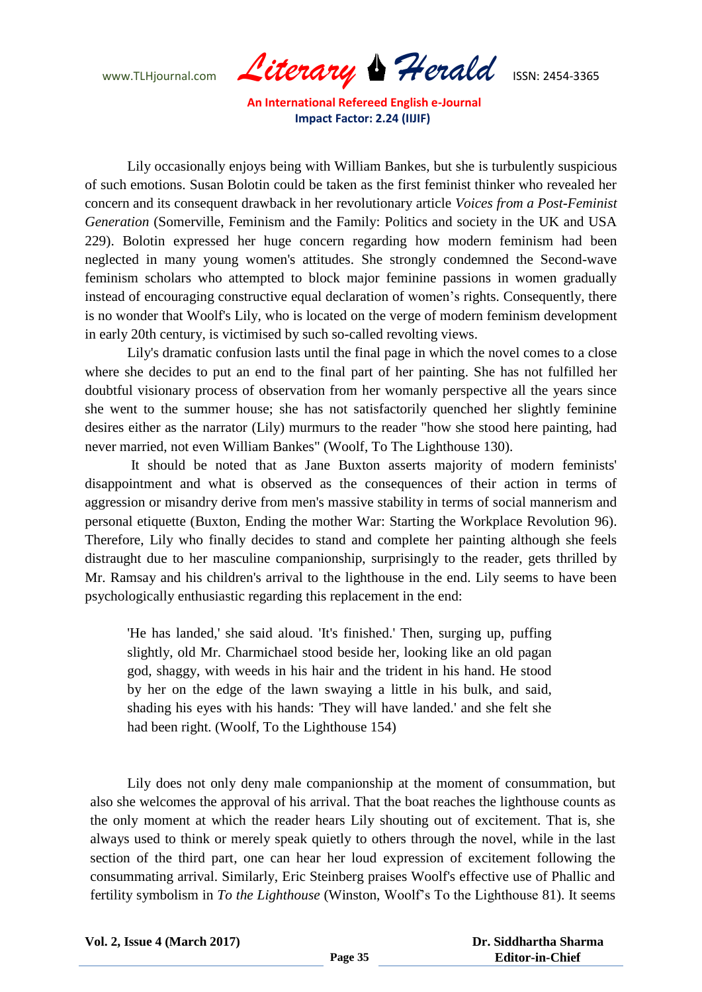WWW.TLHjournal.com **Literary & Herald ISSN: 2454-3365** 

Lily occasionally enjoys being with William Bankes, but she is turbulently suspicious of such emotions. Susan Bolotin could be taken as the first feminist thinker who revealed her concern and its consequent drawback in her revolutionary article *Voices from a Post-Feminist Generation* (Somerville, Feminism and the Family: Politics and society in the UK and USA 229). Bolotin expressed her huge concern regarding how modern feminism had been neglected in many young women's attitudes. She strongly condemned the Second-wave feminism scholars who attempted to block major feminine passions in women gradually instead of encouraging constructive equal declaration of women's rights. Consequently, there is no wonder that Woolf's Lily, who is located on the verge of modern feminism development in early 20th century, is victimised by such so-called revolting views.

Lily's dramatic confusion lasts until the final page in which the novel comes to a close where she decides to put an end to the final part of her painting. She has not fulfilled her doubtful visionary process of observation from her womanly perspective all the years since she went to the summer house; she has not satisfactorily quenched her slightly feminine desires either as the narrator (Lily) murmurs to the reader "how she stood here painting, had never married, not even William Bankes" (Woolf, To The Lighthouse 130).

It should be noted that as Jane Buxton asserts majority of modern feminists' disappointment and what is observed as the consequences of their action in terms of aggression or misandry derive from men's massive stability in terms of social mannerism and personal etiquette (Buxton, Ending the mother War: Starting the Workplace Revolution 96). Therefore, Lily who finally decides to stand and complete her painting although she feels distraught due to her masculine companionship, surprisingly to the reader, gets thrilled by Mr. Ramsay and his children's arrival to the lighthouse in the end. Lily seems to have been psychologically enthusiastic regarding this replacement in the end:

'He has landed,' she said aloud. 'It's finished.' Then, surging up, puffing slightly, old Mr. Charmichael stood beside her, looking like an old pagan god, shaggy, with weeds in his hair and the trident in his hand. He stood by her on the edge of the lawn swaying a little in his bulk, and said, shading his eyes with his hands: 'They will have landed.' and she felt she had been right. (Woolf, To the Lighthouse 154)

Lily does not only deny male companionship at the moment of consummation, but also she welcomes the approval of his arrival. That the boat reaches the lighthouse counts as the only moment at which the reader hears Lily shouting out of excitement. That is, she always used to think or merely speak quietly to others through the novel, while in the last section of the third part, one can hear her loud expression of excitement following the consummating arrival. Similarly, Eric Steinberg praises Woolf's effective use of Phallic and fertility symbolism in *To the Lighthouse* (Winston, Woolf's To the Lighthouse 81). It seems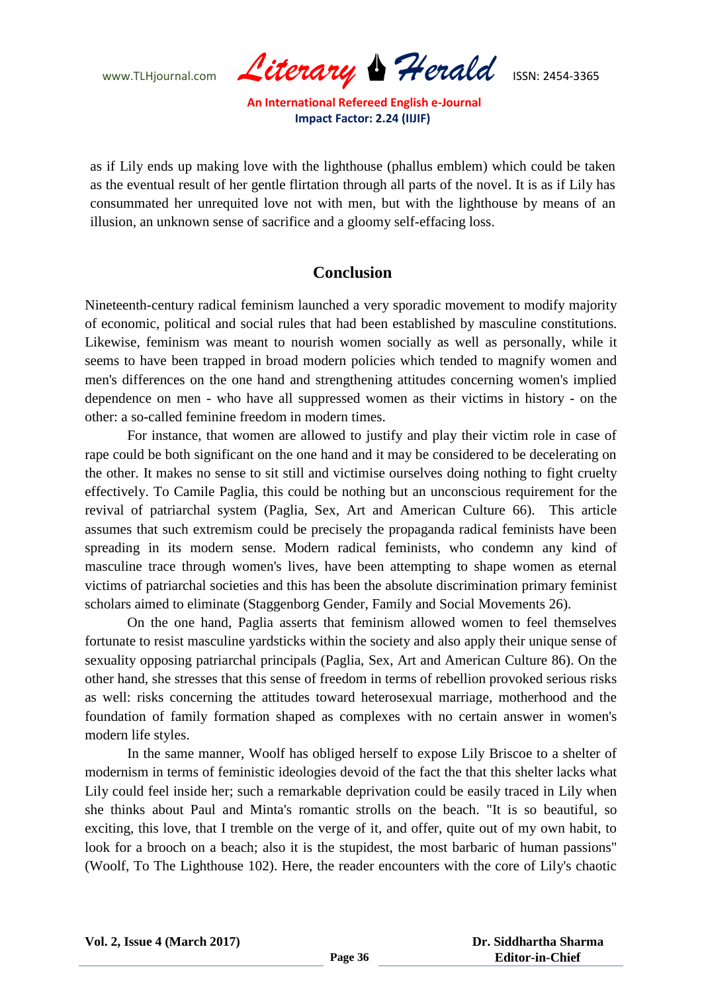WWW.TLHjournal.com **Literary & Herald ISSN: 2454-3365** 

as if Lily ends up making love with the lighthouse (phallus emblem) which could be taken as the eventual result of her gentle flirtation through all parts of the novel. It is as if Lily has consummated her unrequited love not with men, but with the lighthouse by means of an illusion, an unknown sense of sacrifice and a gloomy self-effacing loss.

## **Conclusion**

Nineteenth-century radical feminism launched a very sporadic movement to modify majority of economic, political and social rules that had been established by masculine constitutions. Likewise, feminism was meant to nourish women socially as well as personally, while it seems to have been trapped in broad modern policies which tended to magnify women and men's differences on the one hand and strengthening attitudes concerning women's implied dependence on men - who have all suppressed women as their victims in history - on the other: a so-called feminine freedom in modern times.

For instance, that women are allowed to justify and play their victim role in case of rape could be both significant on the one hand and it may be considered to be decelerating on the other. It makes no sense to sit still and victimise ourselves doing nothing to fight cruelty effectively. To Camile Paglia, this could be nothing but an unconscious requirement for the revival of patriarchal system (Paglia, Sex, Art and American Culture 66). This article assumes that such extremism could be precisely the propaganda radical feminists have been spreading in its modern sense. Modern radical feminists, who condemn any kind of masculine trace through women's lives, have been attempting to shape women as eternal victims of patriarchal societies and this has been the absolute discrimination primary feminist scholars aimed to eliminate (Staggenborg Gender, Family and Social Movements 26).

On the one hand, Paglia asserts that feminism allowed women to feel themselves fortunate to resist masculine yardsticks within the society and also apply their unique sense of sexuality opposing patriarchal principals (Paglia, Sex, Art and American Culture 86). On the other hand, she stresses that this sense of freedom in terms of rebellion provoked serious risks as well: risks concerning the attitudes toward heterosexual marriage, motherhood and the foundation of family formation shaped as complexes with no certain answer in women's modern life styles.

In the same manner, Woolf has obliged herself to expose Lily Briscoe to a shelter of modernism in terms of feministic ideologies devoid of the fact the that this shelter lacks what Lily could feel inside her; such a remarkable deprivation could be easily traced in Lily when she thinks about Paul and Minta's romantic strolls on the beach. "It is so beautiful, so exciting, this love, that I tremble on the verge of it, and offer, quite out of my own habit, to look for a brooch on a beach; also it is the stupidest, the most barbaric of human passions" (Woolf, To The Lighthouse 102). Here, the reader encounters with the core of Lily's chaotic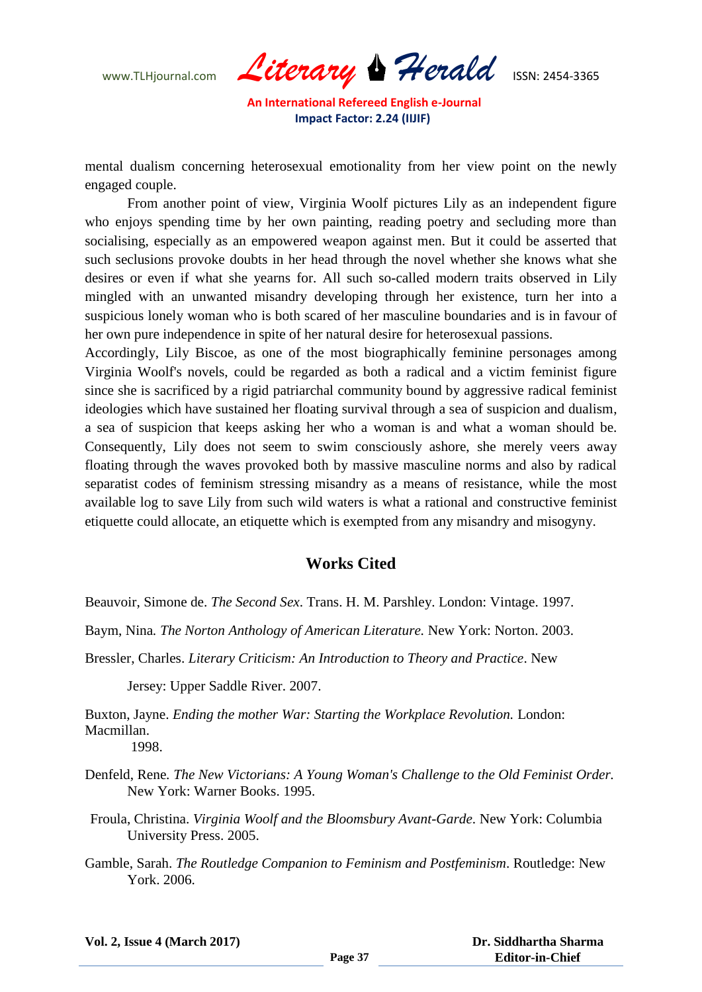www.TLHjournal.com *Literary Herald*ISSN: 2454-3365

mental dualism concerning heterosexual emotionality from her view point on the newly engaged couple.

From another point of view, Virginia Woolf pictures Lily as an independent figure who enjoys spending time by her own painting, reading poetry and secluding more than socialising, especially as an empowered weapon against men. But it could be asserted that such seclusions provoke doubts in her head through the novel whether she knows what she desires or even if what she yearns for. All such so-called modern traits observed in Lily mingled with an unwanted misandry developing through her existence, turn her into a suspicious lonely woman who is both scared of her masculine boundaries and is in favour of her own pure independence in spite of her natural desire for heterosexual passions.

Accordingly, Lily Biscoe, as one of the most biographically feminine personages among Virginia Woolf's novels, could be regarded as both a radical and a victim feminist figure since she is sacrificed by a rigid patriarchal community bound by aggressive radical feminist ideologies which have sustained her floating survival through a sea of suspicion and dualism, a sea of suspicion that keeps asking her who a woman is and what a woman should be. Consequently, Lily does not seem to swim consciously ashore, she merely veers away floating through the waves provoked both by massive masculine norms and also by radical separatist codes of feminism stressing misandry as a means of resistance, while the most available log to save Lily from such wild waters is what a rational and constructive feminist etiquette could allocate, an etiquette which is exempted from any misandry and misogyny.

## **Works Cited**

Beauvoir, Simone de. *The Second Sex*. Trans. H. M. Parshley. London: Vintage. 1997.

Baym, Nina*. The Norton Anthology of American Literature.* New York: Norton. 2003.

Bressler, Charles. *Literary Criticism: An Introduction to Theory and Practice*. New

Jersey: Upper Saddle River. 2007.

Buxton, Jayne. *Ending the mother War: Starting the Workplace Revolution.* London: Macmillan. 1998.

Denfeld, Rene*. The New Victorians: A Young Woman's Challenge to the Old Feminist Order.*  New York: Warner Books. 1995.

- Froula, Christina. *Virginia Woolf and the Bloomsbury Avant-Garde*. New York: Columbia University Press. 2005.
- Gamble, Sarah. *The Routledge Companion to Feminism and Postfeminism*. Routledge: New York. 2006.